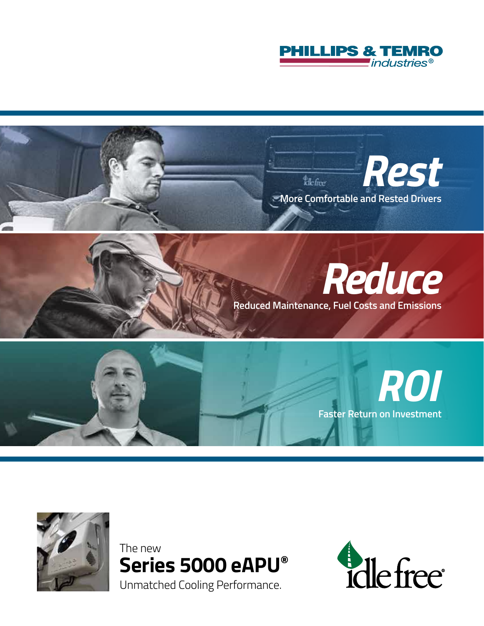









The new **Series 5000 eAPU®** Unmatched Cooling Performance.

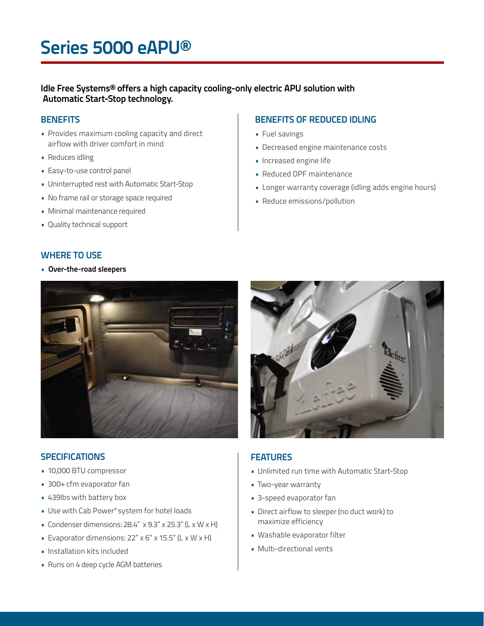# **Series 5000 eAPU®**

**Idle Free Systems® offers a high capacity cooling-only electric APU solution with Automatic Start-Stop technology.**

# **BENEFITS**

- Provides maximum cooling capacity and direct airflow with driver comfort in mind
- Reduces idling
- Easy-to-use control panel
- Uninterrupted rest with Automatic Start-Stop
- No frame rail or storage space required
- Minimal maintenance required
- Quality technical support

# **BENEFITS OF REDUCED IDLING**

- Fuel savings
- Decreased engine maintenance costs
- Increased engine life
- Reduced DPF maintenance
- Longer warranty coverage (idling adds engine hours)
- Reduce emissions/pollution

### **WHERE TO USE**

• **Over-the-road sleepers**



## **SPECIFICATIONS**

- 10,000 BTU compressor
- 300+ cfm evaporator fan
- 439lbs with battery box
- Use with Cab Power® system for hotel loads
- Condenser dimensions:  $28.4''$  x  $9.3''$  x  $25.3''$  (L x W x H)
- Evaporator dimensions: 22" x 6" x 15.5" (L x W x H)
- Installation kits included
- Runs on 4 deep cycle AGM batteries



# **FEATURES**

- Unlimited run time with Automatic Start-Stop
- Two-year warranty
- 3-speed evaporator fan
- Direct airflow to sleeper (no duct work) to maximize efficiency
- Washable evaporator filter
- Multi-directional vents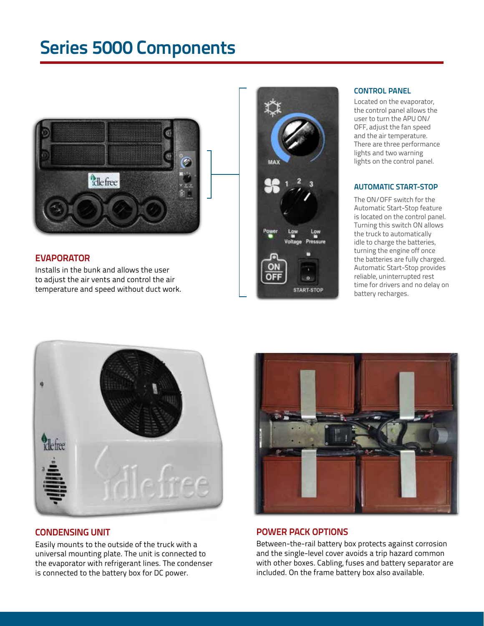# **Series 5000 Components**



# **EVAPORATOR**

Installs in the bunk and allows the user to adjust the air vents and control the air temperature and speed without duct work.



#### **CONTROL PANEL**

Located on the evaporator, the control panel allows the user to turn the APU ON/ OFF, adjust the fan speed and the air temperature. There are three performance lights and two warning lights on the control panel.

#### **AUTOMATIC START-STOP**

The ON/OFF switch for the Automatic Start-Stop feature is located on the control panel. Turning this switch ON allows the truck to automatically idle to charge the batteries, turning the engine off once the batteries are fully charged. Automatic Start-Stop provides reliable, uninterrupted rest time for drivers and no delay on battery recharges.



Easily mounts to the outside of the truck with a universal mounting plate. The unit is connected to the evaporator with refrigerant lines. The condenser is connected to the battery box for DC power.



## **CONDENSING UNIT POWER PACK OPTIONS**

Between-the-rail battery box protects against corrosion and the single-level cover avoids a trip hazard common with other boxes. Cabling, fuses and battery separator are included. On the frame battery box also available.